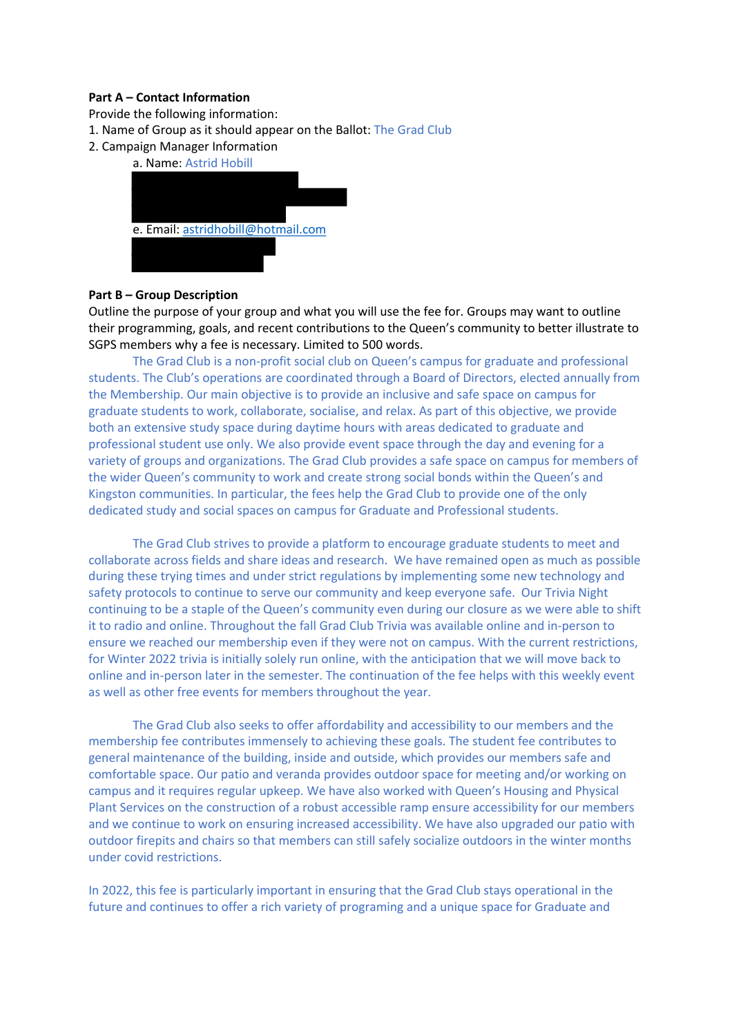# **Part A – Contact Information**

Provide the following information:

- 1. Name of Group as it should appear on the Ballot: The Grad Club
- 2. Campaign Manager Information

| a. Name: Astrid Hobill             |
|------------------------------------|
|                                    |
|                                    |
|                                    |
| e. Email: astridhobill@hotmail.com |
|                                    |
|                                    |

# **Part B – Group Description**

Outline the purpose of your group and what you will use the fee for. Groups may want to outline their programming, goals, and recent contributions to the Queen's community to better illustrate to SGPS members why a fee is necessary. Limited to 500 words.

The Grad Club is a non-profit social club on Queen's campus for graduate and professional students. The Club's operations are coordinated through a Board of Directors, elected annually from the Membership. Our main objective is to provide an inclusive and safe space on campus for graduate students to work, collaborate, socialise, and relax. As part of this objective, we provide both an extensive study space during daytime hours with areas dedicated to graduate and professional student use only. We also provide event space through the day and evening for a variety of groups and organizations. The Grad Club provides a safe space on campus for members of the wider Queen's community to work and create strong social bonds within the Queen's and Kingston communities. In particular, the fees help the Grad Club to provide one of the only dedicated study and social spaces on campus for Graduate and Professional students.

The Grad Club strives to provide a platform to encourage graduate students to meet and collaborate across fields and share ideas and research. We have remained open as much as possible during these trying times and under strict regulations by implementing some new technology and safety protocols to continue to serve our community and keep everyone safe. Our Trivia Night continuing to be a staple of the Queen's community even during our closure as we were able to shift it to radio and online. Throughout the fall Grad Club Trivia was available online and in-person to ensure we reached our membership even if they were not on campus. With the current restrictions, for Winter 2022 trivia is initially solely run online, with the anticipation that we will move back to online and in-person later in the semester. The continuation of the fee helps with this weekly event as well as other free events for members throughout the year.

The Grad Club also seeks to offer affordability and accessibility to our members and the membership fee contributes immensely to achieving these goals. The student fee contributes to general maintenance of the building, inside and outside, which provides our members safe and comfortable space. Our patio and veranda provides outdoor space for meeting and/or working on campus and it requires regular upkeep. We have also worked with Queen's Housing and Physical Plant Services on the construction of a robust accessible ramp ensure accessibility for our members and we continue to work on ensuring increased accessibility. We have also upgraded our patio with outdoor firepits and chairs so that members can still safely socialize outdoors in the winter months under covid restrictions.

In 2022, this fee is particularly important in ensuring that the Grad Club stays operational in the future and continues to offer a rich variety of programing and a unique space for Graduate and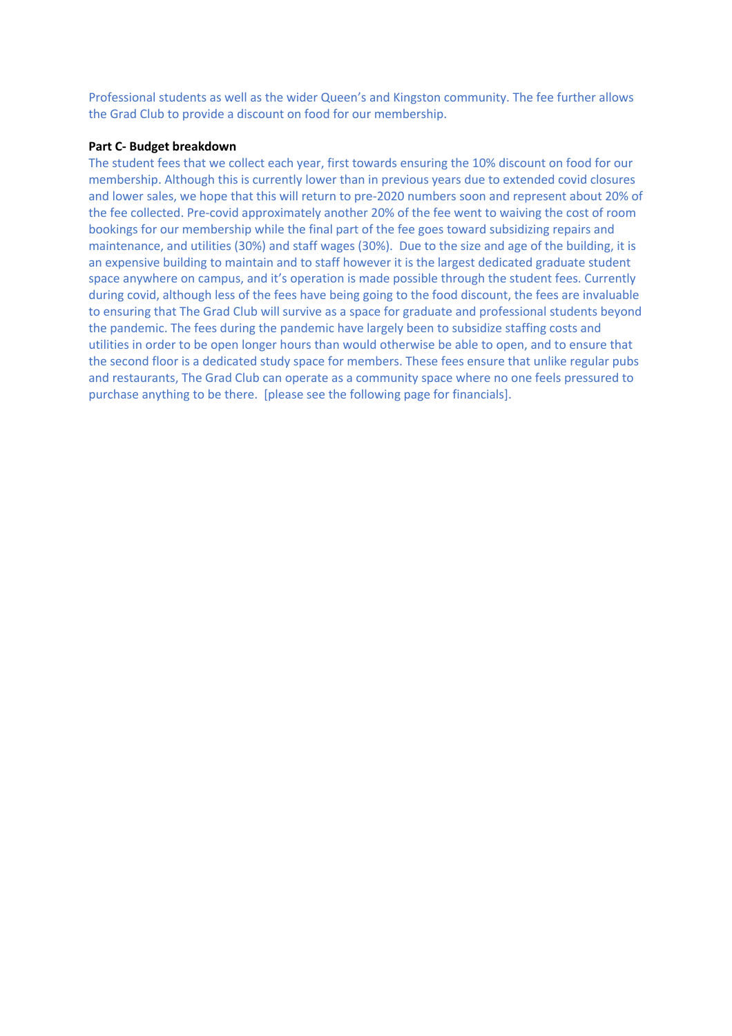Professional students as well as the wider Queen's and Kingston community. The fee further allows the Grad Club to provide a discount on food for our membership.

## **Part C- Budget breakdown**

The student fees that we collect each year, first towards ensuring the 10% discount on food for our membership. Although this is currently lower than in previous years due to extended covid closures and lower sales, we hope that this will return to pre-2020 numbers soon and represent about 20% of the fee collected. Pre-covid approximately another 20% of the fee went to waiving the cost of room bookings for our membership while the final part of the fee goes toward subsidizing repairs and maintenance, and utilities (30%) and staff wages (30%). Due to the size and age of the building, it is an expensive building to maintain and to staff however it is the largest dedicated graduate student space anywhere on campus, and it's operation is made possible through the student fees. Currently during covid, although less of the fees have being going to the food discount, the fees are invaluable to ensuring that The Grad Club will survive as a space for graduate and professional students beyond the pandemic. The fees during the pandemic have largely been to subsidize staffing costs and utilities in order to be open longer hours than would otherwise be able to open, and to ensure that the second floor is a dedicated study space for members. These fees ensure that unlike regular pubs and restaurants, The Grad Club can operate as a community space where no one feels pressured to purchase anything to be there. [please see the following page for financials].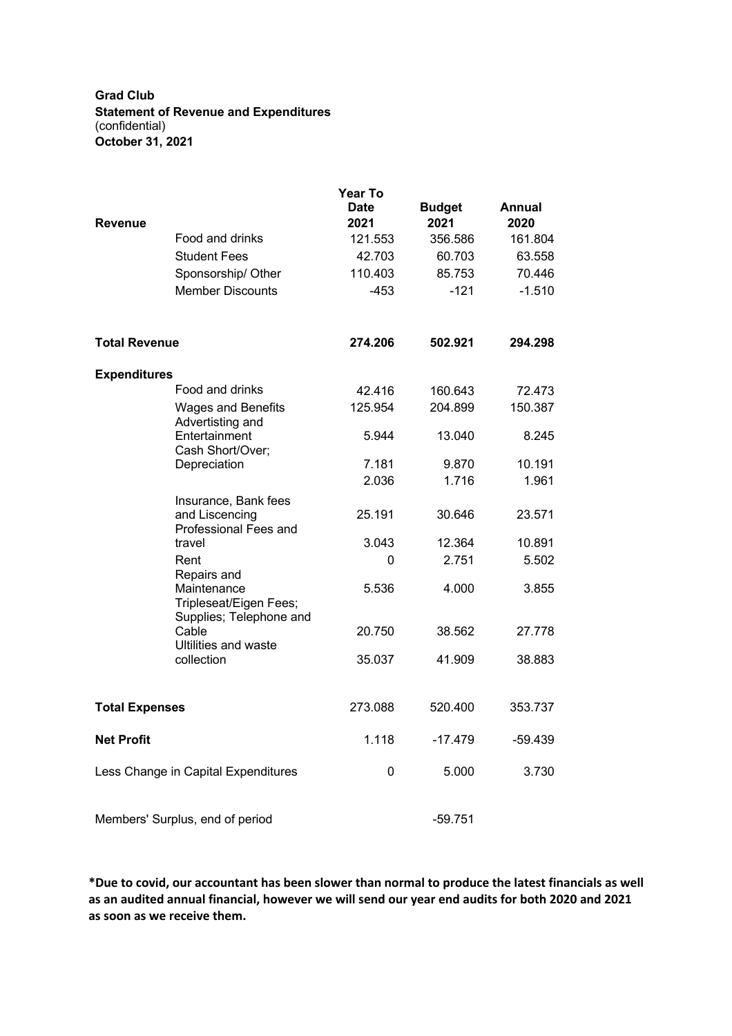**Grad Club Statement of Revenue and Expenditures** (confidential) **October 31, 2021**

|                                     |                                                                 | <b>Year To</b><br><b>Date</b> | <b>Budget</b> | Annual   |
|-------------------------------------|-----------------------------------------------------------------|-------------------------------|---------------|----------|
| <b>Revenue</b>                      |                                                                 | 2021                          | 2021          | 2020     |
|                                     | Food and drinks                                                 | 121.553                       | 356.586       | 161.804  |
|                                     | <b>Student Fees</b>                                             | 42.703                        | 60.703        | 63.558   |
|                                     | Sponsorship/ Other                                              | 110.403                       | 85.753        | 70.446   |
|                                     | <b>Member Discounts</b>                                         | -453                          | $-121$        | $-1.510$ |
| <b>Total Revenue</b>                |                                                                 | 274.206                       | 502.921       | 294.298  |
| <b>Expenditures</b>                 |                                                                 |                               |               |          |
|                                     | Food and drinks                                                 | 42.416                        | 160.643       | 72.473   |
|                                     | <b>Wages and Benefits</b><br>Advertisting and                   | 125.954                       | 204.899       | 150.387  |
|                                     | Entertainment<br>Cash Short/Over;                               | 5.944                         | 13.040        | 8.245    |
|                                     | Depreciation                                                    | 7.181                         | 9.870         | 10.191   |
|                                     |                                                                 | 2.036                         | 1.716         | 1.961    |
|                                     | Insurance, Bank fees<br>and Liscencing                          | 25.191                        | 30.646        | 23.571   |
|                                     | Professional Fees and                                           | 3.043                         |               |          |
|                                     | travel                                                          |                               | 12.364        | 10.891   |
|                                     | Rent<br>Repairs and                                             | 0                             | 2.751         | 5.502    |
|                                     | Maintenance<br>Tripleseat/Eigen Fees;                           | 5.536                         | 4.000         | 3.855    |
|                                     | Supplies; Telephone and<br>Cable<br><b>Ultilities and waste</b> | 20.750                        | 38.562        | 27.778   |
|                                     | collection                                                      | 35.037                        | 41.909        | 38,883   |
| <b>Total Expenses</b>               |                                                                 | 273.088                       | 520.400       | 353.737  |
| <b>Net Profit</b>                   |                                                                 | 1.118                         | $-17.479$     | -59.439  |
| Less Change in Capital Expenditures |                                                                 | 0                             | 5.000         | 3.730    |
| Members' Surplus, end of period     |                                                                 |                               | $-59.751$     |          |

**\*Due to covid, our accountant has been slower than normal to produce the latest financials as well as an audited annual financial, however we will send our year end audits for both 2020 and 2021 as soon as we receive them.**